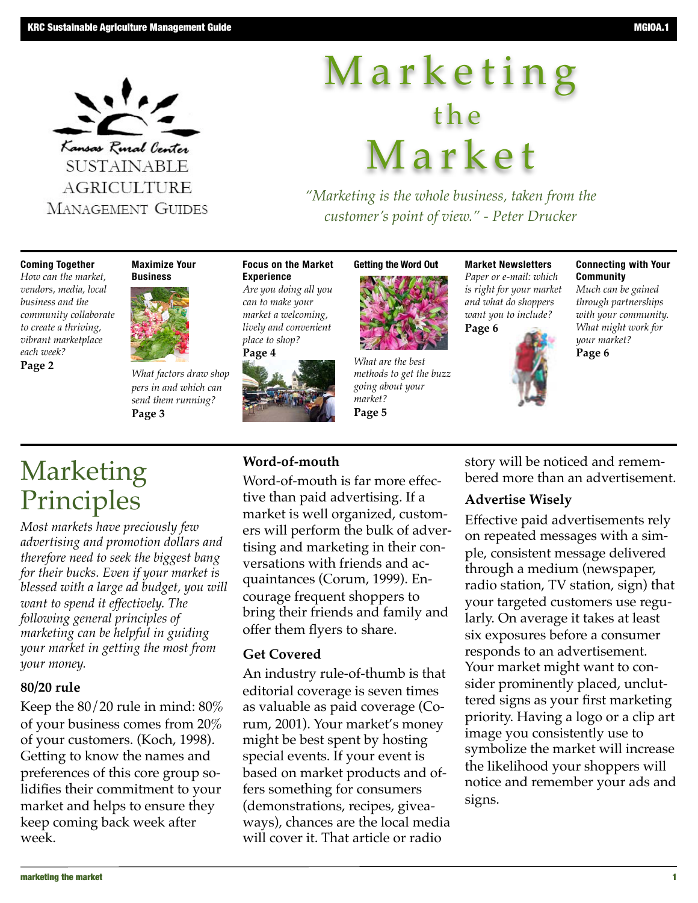

# M a r k e t i n g t h e M a r k e t

*"Marketing is the whole business, taken from the customer's point of view." - Peter Drucker*

#### **Coming Together**

*How can the market, vendors, media, local business and the community collaborate to create a thriving, vibrant marketplace each week?*  **Page 2**

**Maximize Your Business**

*What factors draw shop pers in and which can send them running?* **Page 3**

#### **Focus on the Market Experience**

*Are you doing all you can to make your market a welcoming, lively and convenient place to shop?*



# **Getting the Word Ou**t



*What are the best methods to get the buzz going about your market?* **Page 5**

**Market Newsletters** *Paper or e-mail: which is right for your market and what do shoppers want you to include?* **Page 6**



#### **Connecting with Your Community**

*Much can be gained through partnerships with your community. What might work for your market?* **Page 6** 

# Marketing Principles

*Most markets have preciously few advertising and promotion dollars and therefore need to seek the biggest bang for their bucks. Even if your market is blessed with a large ad budget, you will want to spend it effectively. The following general principles of marketing can be helpful in guiding your market in getting the most from your money.*

#### **80/20 rule**

Keep the  $80/20$  rule in mind:  $80\%$ of your business comes from 20% of your customers. (Koch, 1998). Getting to know the names and preferences of this core group solidifies their commitment to your market and helps to ensure they keep coming back week after week.

#### **Word-of-mouth**

Word-of-mouth is far more effective than paid advertising. If a market is well organized, customers will perform the bulk of advertising and marketing in their conversations with friends and acquaintances (Corum, 1999). Encourage frequent shoppers to bring their friends and family and offer them flyers to share.

#### **Get Covered**

An industry rule-of-thumb is that editorial coverage is seven times as valuable as paid coverage (Corum, 2001). Your market's money might be best spent by hosting special events. If your event is based on market products and offers something for consumers (demonstrations, recipes, giveaways), chances are the local media will cover it. That article or radio

story will be noticed and remembered more than an advertisement.

#### **Advertise Wisely**

Effective paid advertisements rely on repeated messages with a simple, consistent message delivered through a medium (newspaper, radio station, TV station, sign) that your targeted customers use regularly. On average it takes at least six exposures before a consumer responds to an advertisement. Your market might want to consider prominently placed, uncluttered signs as your first marketing priority. Having a logo or a clip art image you consistently use to symbolize the market will increase the likelihood your shoppers will notice and remember your ads and signs.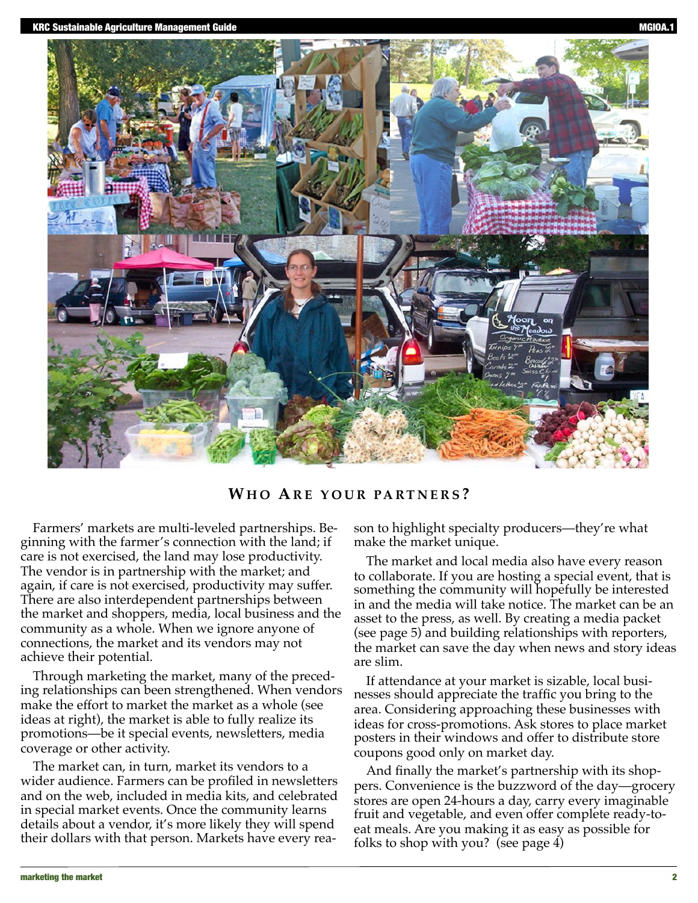

#### **WH O AR E Y O U R PA RT N E R S ?**

Farmers' markets are multi-leveled partnerships. Beginning with the farmer's connection with the land; if care is not exercised, the land may lose productivity. The vendor is in partnership with the market; and again, if care is not exercised, productivity may suffer. There are also interdependent partnerships between the market and shoppers, media, local business and the community as a whole. When we ignore anyone of connections, the market and its vendors may not achieve their potential.

Through marketing the market, many of the preceding relationships can been strengthened. When vendors make the effort to market the market as a whole (see ideas at right), the market is able to fully realize its promotions—be it special events, newsletters, media coverage or other activity.

The market can, in turn, market its vendors to a wider audience. Farmers can be profiled in newsletters and on the web, included in media kits, and celebrated in special market events. Once the community learns details about a vendor, it's more likely they will spend their dollars with that person. Markets have every reason to highlight specialty producers—they're what make the market unique.

The market and local media also have every reason to collaborate. If you are hosting a special event, that is something the community will hopefully be interested in and the media will take notice. The market can be an asset to the press, as well. By creating a media packet (see page 5) and building relationships with reporters, the market can save the day when news and story ideas are slim.

If attendance at your market is sizable, local businesses should appreciate the traffic you bring to the area. Considering approaching these businesses with ideas for cross-promotions. Ask stores to place market posters in their windows and offer to distribute store coupons good only on market day.

And finally the market's partnership with its shoppers. Convenience is the buzzword of the day—grocery stores are open 24-hours a day, carry every imaginable fruit and vegetable, and even offer complete ready-toeat meals. Are you making it as easy as possible for folks to shop with you? (see page 4)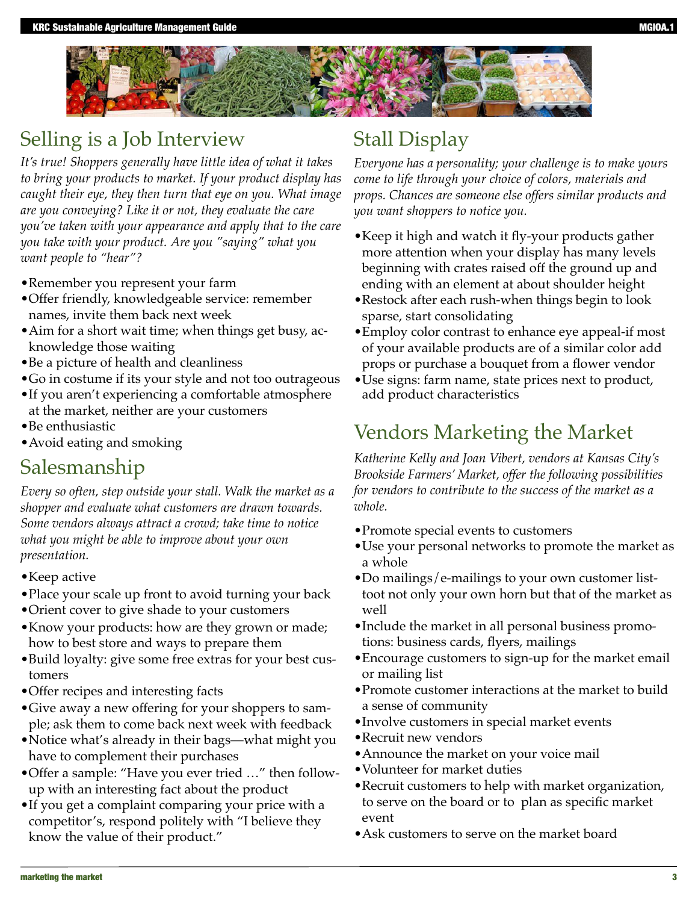

### Selling is a Job Interview

*It's true! Shoppers generally have little idea of what it takes to bring your products to market. If your product display has caught their eye, they then turn that eye on you. What image are you conveying? Like it or not, they evaluate the care you've taken with your appearance and apply that to the care you take with your product. Are you "saying" what you want people to "hear"?*

- •Remember you represent your farm
- •Offer friendly, knowledgeable service: remember names, invite them back next week
- •Aim for a short wait time; when things get busy, acknowledge those waiting
- •Be a picture of health and cleanliness
- •Go in costume if its your style and not too outrageous
- •If you aren't experiencing a comfortable atmosphere at the market, neither are your customers
- •Be enthusiastic
- •Avoid eating and smoking

### Salesmanship

*Every so often, step outside your stall. Walk the market as a shopper and evaluate what customers are drawn towards. Some vendors always attract a crowd; take time to notice what you might be able to improve about your own presentation.*

- •Keep active
- •Place your scale up front to avoid turning your back
- •Orient cover to give shade to your customers
- •Know your products: how are they grown or made; how to best store and ways to prepare them
- •Build loyalty: give some free extras for your best customers
- •Offer recipes and interesting facts
- •Give away a new offering for your shoppers to sample; ask them to come back next week with feedback
- •Notice what's already in their bags—what might you have to complement their purchases
- •Offer a sample: "Have you ever tried …" then followup with an interesting fact about the product
- •If you get a complaint comparing your price with a competitor's, respond politely with "I believe they know the value of their product."

### Stall Display

*Everyone has a personality; your challenge is to make yours come to life through your choice of colors, materials and props. Chances are someone else offers similar products and you want shoppers to notice you.*

- •Keep it high and watch it fly-your products gather more attention when your display has many levels beginning with crates raised off the ground up and ending with an element at about shoulder height
- •Restock after each rush-when things begin to look sparse, start consolidating
- •Employ color contrast to enhance eye appeal-if most of your available products are of a similar color add props or purchase a bouquet from a flower vendor
- •Use signs: farm name, state prices next to product, add product characteristics

### Vendors Marketing the Market

*Katherine Kelly and Joan Vibert, vendors at Kansas City's Brookside Farmers' Market, offer the following possibilities for vendors to contribute to the success of the market as a whole.*

- •Promote special events to customers
- •Use your personal networks to promote the market as a whole
- •Do mailings/e-mailings to your own customer listtoot not only your own horn but that of the market as well
- •Include the market in all personal business promotions: business cards, flyers, mailings
- •Encourage customers to sign-up for the market email or mailing list
- •Promote customer interactions at the market to build a sense of community
- •Involve customers in special market events
- •Recruit new vendors
- •Announce the market on your voice mail
- •Volunteer for market duties
- •Recruit customers to help with market organization, to serve on the board or to plan as specific market event
- •Ask customers to serve on the market board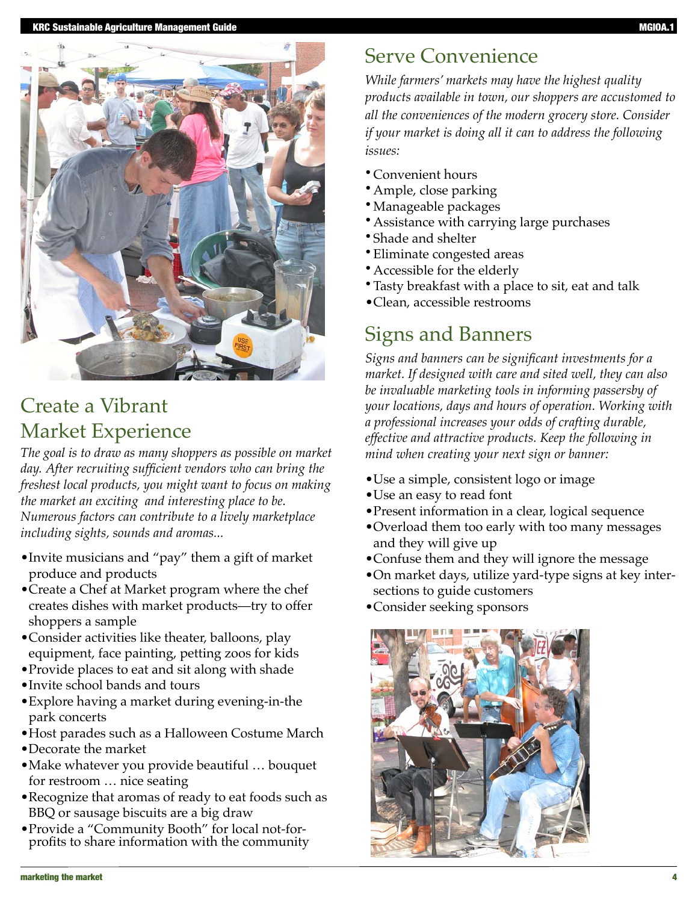

### Create a Vibrant Market Experience

*The goal is to draw as many shoppers as possible on market day. After recruiting sufficient vendors who can bring the freshest local products, you might want to focus on making the market an exciting and interesting place to be. Numerous factors can contribute to a lively marketplace including sights, sounds and aromas...*

- •Invite musicians and "pay" them a gift of market produce and products
- •Create a Chef at Market program where the chef creates dishes with market products—try to offer shoppers a sample
- •Consider activities like theater, balloons, play equipment, face painting, petting zoos for kids
- •Provide places to eat and sit along with shade
- •Invite school bands and tours
- •Explore having a market during evening-in-the park concerts
- •Host parades such as a Halloween Costume March
- •Decorate the market
- •Make whatever you provide beautiful … bouquet for restroom … nice seating
- •Recognize that aromas of ready to eat foods such as BBQ or sausage biscuits are a big draw
- •Provide a "Community Booth" for local not-for- profits to share information with the community

# Serve Convenience

*While farmers' markets may have the highest quality products available in town, our shoppers are accustomed to all the conveniences of the modern grocery store. Consider if your market is doing all it can to address the following issues:*

- Convenient hours
- Ample, close parking
- Manageable packages
- Assistance with carrying large purchases
- Shade and shelter
- Eliminate congested areas
- Accessible for the elderly
- Tasty breakfast with a place to sit, eat and talk
- •Clean, accessible restrooms

## Signs and Banners

*Signs and banners can be significant investments for a market. If designed with care and sited well, they can also be invaluable marketing tools in informing passersby of your locations, days and hours of operation. Working with a professional increases your odds of crafting durable, effective and attractive products. Keep the following in mind when creating your next sign or banner:*

- •Use a simple, consistent logo or image
- •Use an easy to read font
- •Present information in a clear, logical sequence
- •Overload them too early with too many messages and they will give up
- •Confuse them and they will ignore the message
- •On market days, utilize yard-type signs at key intersections to guide customers
- •Consider seeking sponsors

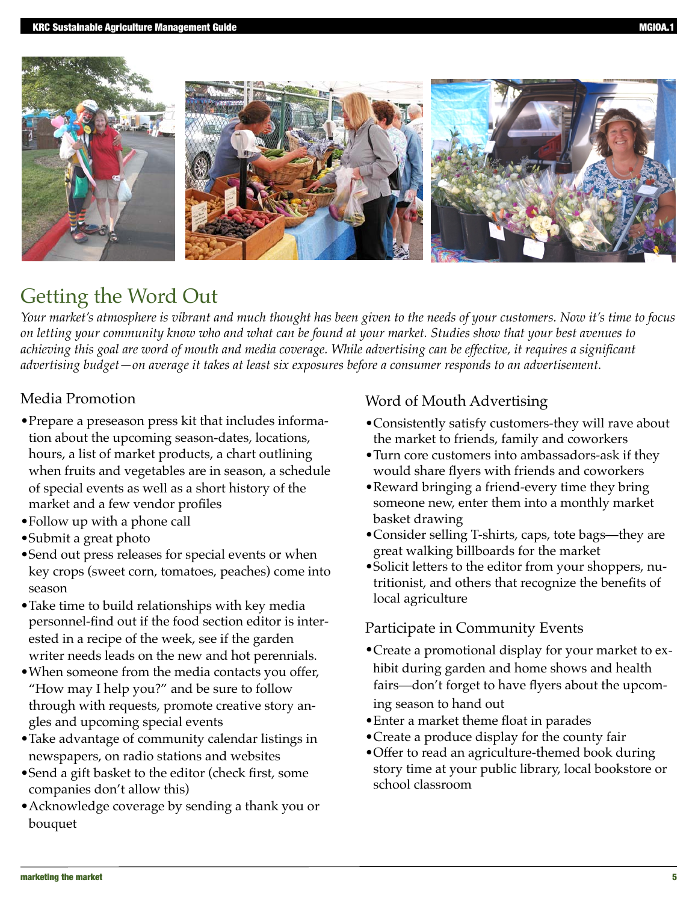



# Getting the Word Out

*Your market's atmosphere is vibrant and much thought has been given to the needs of your customers. Now it's time to focus on letting your community know who and what can be found at your market. Studies show that your best avenues to achieving this goal are word of mouth and media coverage. While advertising can be effective, it requires a significant advertising budget—on average it takes at least six exposures before a consumer responds to an advertisement.*

### Media Promotion

- •Prepare a preseason press kit that includes information about the upcoming season-dates, locations, hours, a list of market products, a chart outlining when fruits and vegetables are in season, a schedule of special events as well as a short history of the market and a few vendor profiles
- •Follow up with a phone call
- •Submit a great photo
- •Send out press releases for special events or when key crops (sweet corn, tomatoes, peaches) come into season
- •Take time to build relationships with key media personnel-find out if the food section editor is interested in a recipe of the week, see if the garden writer needs leads on the new and hot perennials.
- •When someone from the media contacts you offer, "How may I help you?" and be sure to follow through with requests, promote creative story angles and upcoming special events
- •Take advantage of community calendar listings in newspapers, on radio stations and websites
- •Send a gift basket to the editor (check first, some companies don't allow this)
- •Acknowledge coverage by sending a thank you or bouquet

### Word of Mouth Advertising

- •Consistently satisfy customers-they will rave about the market to friends, family and coworkers
- •Turn core customers into ambassadors-ask if they would share flyers with friends and coworkers
- •Reward bringing a friend-every time they bring someone new, enter them into a monthly market basket drawing
- •Consider selling T-shirts, caps, tote bags—they are great walking billboards for the market
- •Solicit letters to the editor from your shoppers, nutritionist, and others that recognize the benefits of local agriculture

### Participate in Community Events

- •Create a promotional display for your market to exhibit during garden and home shows and health fairs—don't forget to have flyers about the upcoming season to hand out
- •Enter a market theme float in parades
- •Create a produce display for the county fair
- •Offer to read an agriculture-themed book during story time at your public library, local bookstore or school classroom